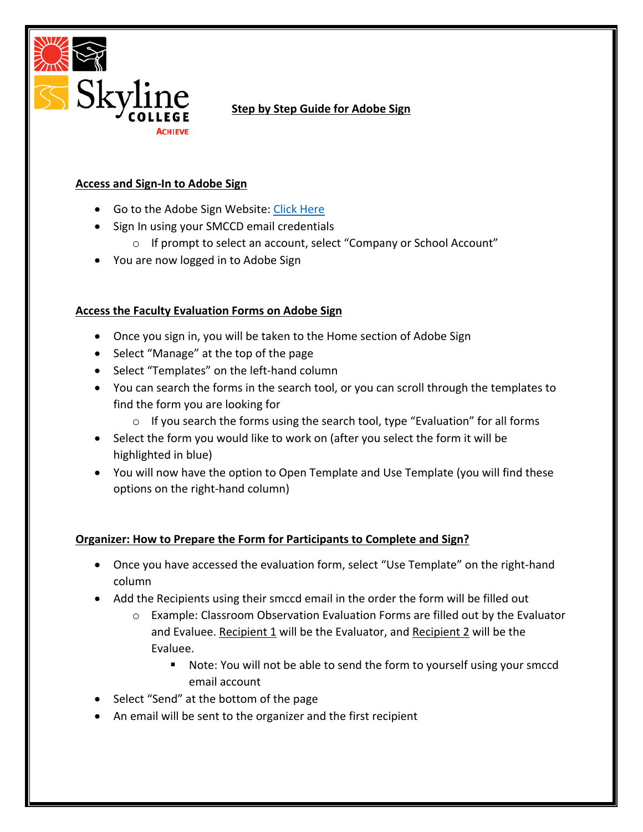

# **Step by Step Guide for Adobe Sign**

### **Access and Sign-In to Adobe Sign**

- Go to the Adobe Sign Website: [Click](https://auth.services.adobe.com/en_US/deeplink.html?deeplink=ssofirst&callback=https%3A%2F%2Fims-na1.adobelogin.com%2Fims%2Fadobeid%2FEchoSign2%2FAdobeID%2Fcode%3Fredirect_uri%3Dhttps%253A%252F%252Fgps.echosign.com%252Fpublic%252FadobeIDLogin%253Fserver%253Dsmcccd.na1.documents.adobe.com%2526port%253D443%26code_challenge_method%3Dplain%26use_ms_for_expiry%3Dtrue&client_id=EchoSign2&scope=openid%2CAdobeID%2CDCAPI%2Cadditional_info.account_type%2Cskybox%2Cupdate_profile.first_name%2Cupdate_profile.last_name%2Cagreement_send%2Cagreement_sign%2Csign_library_write%2Csign_user_read%2Csign_user_write%2Cagreement_read%2Cagreement_write%2Cwidget_read%2Cwidget_write%2Cworkflow_read%2Cworkflow_write%2Csign_library_read%2Cadditional_info.projectedProductContext%2Csign_webhook_read%2Csign_webhook_write%2Csign_webhook_retention%2Csao.ACOM_ESIGN_TRIAL%2Cee.GROUP_SIGN_WEB&denied_callback=https%3A%2F%2Fims-na1.adobelogin.com%2Fims%2Fdenied%2FEchoSign2%3Fredirect_uri%3Dhttps%253A%252F%252Fgps.echosign.com%252Fpublic%252FadobeIDLogin%253Fserver%253Dsmcccd.na1.documents.adobe.com%2526port%253D443%26response_type%3Dcode&relay=feaf2b2c-21dc-4ded-9158-fd215cea99bf&locale=en_US&flow_type=code&ctx_id=Adobe_Sign&dctx_id=adobe_document_cloud&idp_flow_type=login#/) Here
- Sign In using your SMCCD email credentials
	- o If prompt to select an account, select "Company or School Account"
- You are now logged in to Adobe Sign

## **Access the Faculty Evaluation Forms on Adobe Sign**

- Once you sign in, you will be taken to the Home section of Adobe Sign
- Select "Manage" at the top of the page
- Select "Templates" on the left-hand column
- You can search the forms in the search tool, or you can scroll through the templates to find the form you are looking for
	- o If you search the forms using the search tool, type "Evaluation" for all forms
- Select the form you would like to work on (after you select the form it will be highlighted in blue)
- You will now have the option to Open Template and Use Template (you will find these options on the right-hand column)

## **Organizer: How to Prepare the Form for Participants to Complete and Sign?**

- Once you have accessed the evaluation form, select "Use Template" on the right-hand column
- Add the Recipients using their smccd email in the order the form will be filled out
	- $\circ$  Example: Classroom Observation Evaluation Forms are filled out by the Evaluator and Evaluee. Recipient 1 will be the Evaluator, and Recipient 2 will be the Evaluee.
		- Note: You will not be able to send the form to yourself using your smccd email account
- Select "Send" at the bottom of the page
- An email will be sent to the organizer and the first recipient